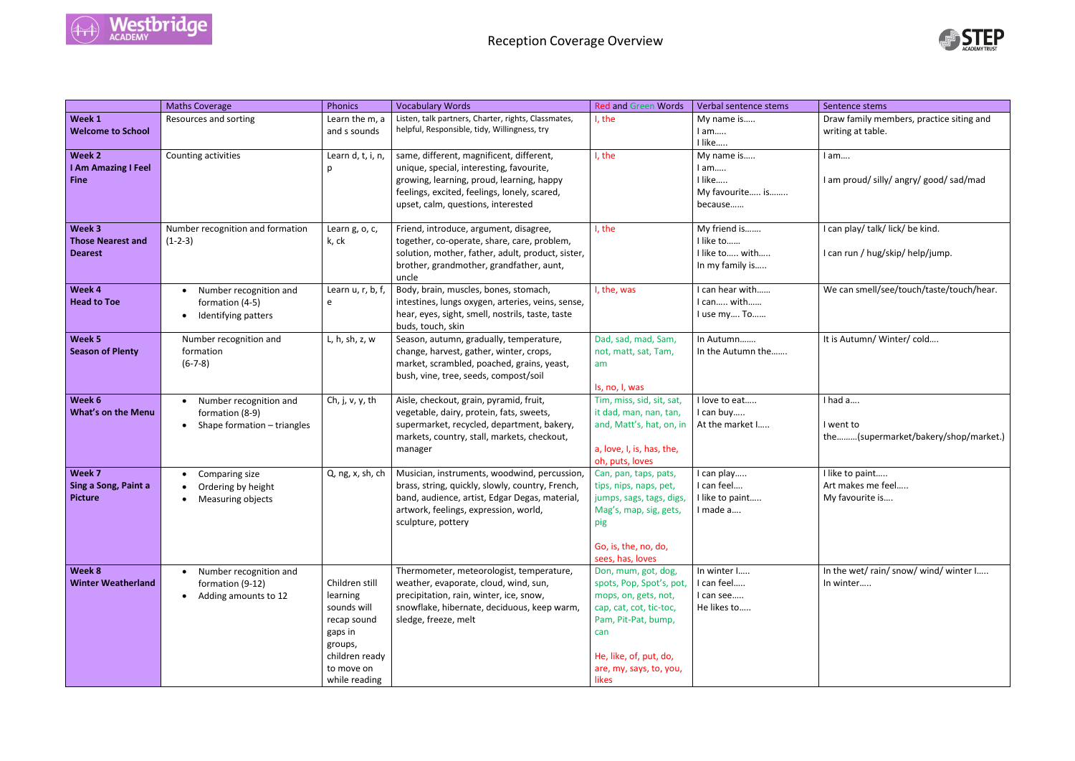

|                                                      | <b>Maths Coverage</b>                                                    | Phonics                                                                                                                         | <b>Vocabulary Words</b>                                                                                                                                                                                                 | <b>Red and Green Words</b>                                                                                                                                                                     | Verbal sentence stems                                          | Sentence stems                                        |
|------------------------------------------------------|--------------------------------------------------------------------------|---------------------------------------------------------------------------------------------------------------------------------|-------------------------------------------------------------------------------------------------------------------------------------------------------------------------------------------------------------------------|------------------------------------------------------------------------------------------------------------------------------------------------------------------------------------------------|----------------------------------------------------------------|-------------------------------------------------------|
| Week 1<br><b>Welcome to School</b>                   | Resources and sorting                                                    | Learn the m, a<br>and s sounds                                                                                                  | Listen, talk partners, Charter, rights, Classmates,<br>helpful, Responsible, tidy, Willingness, try                                                                                                                     | I, the                                                                                                                                                                                         | My name is<br>$l$ am<br>I like                                 | Draw family me<br>writing at table.                   |
| Week 2<br>I Am Amazing I Feel<br><b>Fine</b>         | Counting activities                                                      | Learn d, t, i, n,<br>p                                                                                                          | same, different, magnificent, different,<br>unique, special, interesting, favourite,<br>growing, learning, proud, learning, happy<br>feelings, excited, feelings, lonely, scared,<br>upset, calm, questions, interested | I, the                                                                                                                                                                                         | My name is<br>$l$ am<br>I like<br>My favourite is<br>because   | I am<br>I am proud/ silly                             |
| Week 3<br><b>Those Nearest and</b><br><b>Dearest</b> | Number recognition and formation<br>$(1-2-3)$                            | Learn g, o, c,<br>k, ck                                                                                                         | Friend, introduce, argument, disagree,<br>together, co-operate, share, care, problem,<br>solution, mother, father, adult, product, sister,<br>brother, grandmother, grandfather, aunt,<br>uncle                         | I, the                                                                                                                                                                                         | My friend is<br>I like to<br>I like to with<br>In my family is | I can play/talk/<br>I can run / hug/                  |
| Week 4<br><b>Head to Toe</b>                         | Number recognition and<br>formation (4-5)<br>Identifying patters         | Learn $u, r, b, f$<br>e                                                                                                         | Body, brain, muscles, bones, stomach,<br>intestines, lungs oxygen, arteries, veins, sense,<br>hear, eyes, sight, smell, nostrils, taste, taste<br>buds, touch, skin                                                     | I, the, was                                                                                                                                                                                    | can hear with<br>I can with<br>I use my To                     | We can smell/s                                        |
| Week 5<br><b>Season of Plenty</b>                    | Number recognition and<br>formation<br>$(6-7-8)$                         | L, h, sh, z, w                                                                                                                  | Season, autumn, gradually, temperature,<br>change, harvest, gather, winter, crops,<br>market, scrambled, poached, grains, yeast,<br>bush, vine, tree, seeds, compost/soil                                               | Dad, sad, mad, Sam,<br>not, matt, sat, Tam,<br>am<br>Is, no, I, was                                                                                                                            | In Autumn<br>In the Autumn the                                 | It is Autumn/W                                        |
| Week 6<br><b>What's on the Menu</b>                  | Number recognition and<br>formation (8-9)<br>Shape formation - triangles | Ch, j, $v$ , $y$ , th                                                                                                           | Aisle, checkout, grain, pyramid, fruit,<br>vegetable, dairy, protein, fats, sweets,<br>supermarket, recycled, department, bakery,<br>markets, country, stall, markets, checkout,<br>manager                             | Tim, miss, sid, sit, sat,<br>it dad, man, nan, tan,<br>and, Matt's, hat, on, in<br>a, love, I, is, has, the,<br>oh, puts, loves                                                                | I love to eat<br>I can buy<br>At the market I                  | I had a<br>I went to<br>the(superr                    |
| Week 7<br>Sing a Song, Paint a<br><b>Picture</b>     | Comparing size<br>Ordering by height<br>Measuring objects                | Q, ng, x, sh, ch                                                                                                                | Musician, instruments, woodwind, percussion,<br>brass, string, quickly, slowly, country, French,<br>band, audience, artist, Edgar Degas, material,<br>artwork, feelings, expression, world,<br>sculpture, pottery       | Can, pan, taps, pats,<br>tips, nips, naps, pet,<br>jumps, sags, tags, digs,<br>Mag's, map, sig, gets,<br>pig<br>Go, is, the, no, do,<br>sees, has, loves                                       | I can play<br>I can feel<br>I like to paint<br>I made a        | I like to paint<br>Art makes me f<br>My favourite is. |
| Week 8<br><b>Winter Weatherland</b>                  | Number recognition and<br>formation (9-12)<br>Adding amounts to 12       | Children still<br>learning<br>sounds will<br>recap sound<br>gaps in<br>groups,<br>children ready<br>to move on<br>while reading | Thermometer, meteorologist, temperature,<br>weather, evaporate, cloud, wind, sun,<br>precipitation, rain, winter, ice, snow,<br>snowflake, hibernate, deciduous, keep warm,<br>sledge, freeze, melt                     | Don, mum, got, dog,<br>spots, Pop, Spot's, pot,<br>mops, on, gets, not,<br>cap, cat, cot, tic-toc,<br>Pam, Pit-Pat, bump,<br>can<br>He, like, of, put, do,<br>are, my, says, to, you,<br>likes | In winter I<br>I can feel<br>I can see<br>He likes to          | In the wet/rain<br>In winter                          |



Draw family members, practice siting and writing at table. I am…. I am proud/ silly/ angry/ good/ sad/mad I can play/ talk/ lick/ be kind. I can run / hug/skip/ help/jump. We can smell/see/touch/taste/touch/hear. It is Autumn/ Winter/ cold.... I had a…. I went to the………(supermarket/bakery/shop/market.) I like to paint..... Art makes me feel….. My favourite is…. In the wet/ rain/ snow/ wind/ winter I….. In winter…..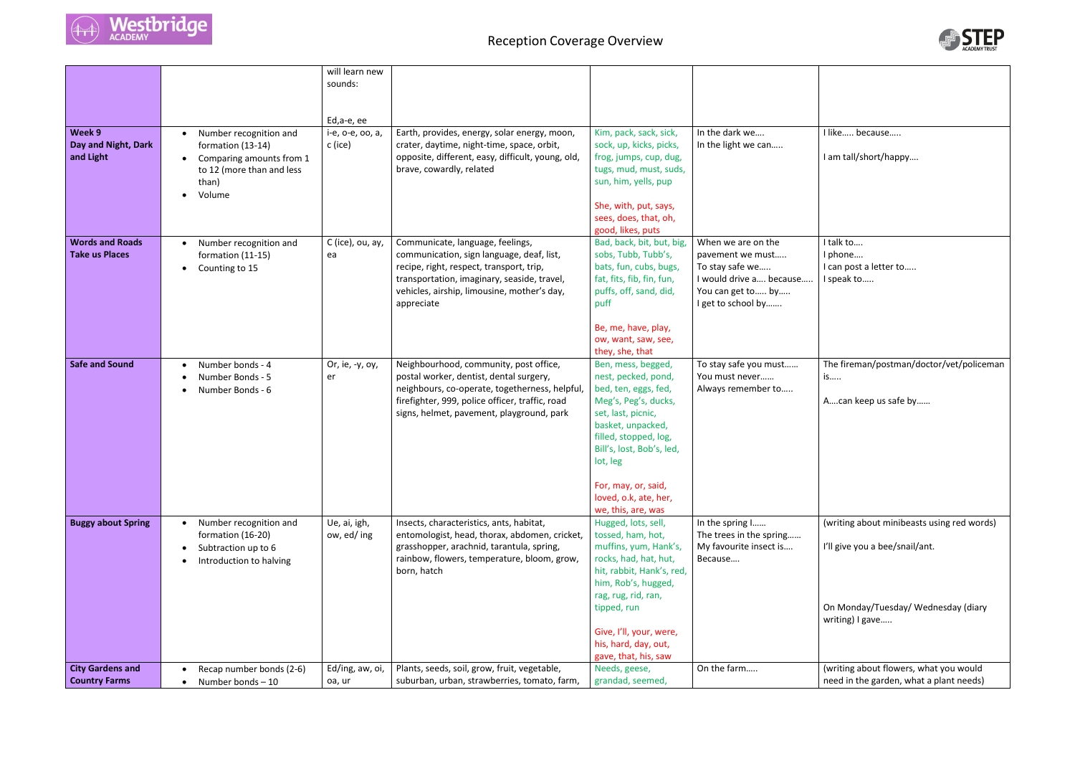

## Reception Coverage Overview

|                                                 |                                                                                                                         | will learn new<br>sounds:   |                                                                                                                                                                                                                                       |                                                                                                                                                                                                                                                                 |                                                                                                                                 |
|-------------------------------------------------|-------------------------------------------------------------------------------------------------------------------------|-----------------------------|---------------------------------------------------------------------------------------------------------------------------------------------------------------------------------------------------------------------------------------|-----------------------------------------------------------------------------------------------------------------------------------------------------------------------------------------------------------------------------------------------------------------|---------------------------------------------------------------------------------------------------------------------------------|
|                                                 |                                                                                                                         |                             |                                                                                                                                                                                                                                       |                                                                                                                                                                                                                                                                 |                                                                                                                                 |
|                                                 |                                                                                                                         | Ed,a-e, ee                  |                                                                                                                                                                                                                                       |                                                                                                                                                                                                                                                                 |                                                                                                                                 |
| Week 9<br>Day and Night, Dark<br>and Light      | Number recognition and<br>formation (13-14)<br>Comparing amounts from 1<br>to 12 (more than and less<br>than)<br>Volume | i-e, o-e, oo, a,<br>c (ice) | Earth, provides, energy, solar energy, moon,<br>crater, daytime, night-time, space, orbit,<br>opposite, different, easy, difficult, young, old,<br>brave, cowardly, related                                                           | Kim, pack, sack, sick,<br>sock, up, kicks, picks,<br>frog, jumps, cup, dug,<br>tugs, mud, must, suds,<br>sun, him, yells, pup<br>She, with, put, says,                                                                                                          | In the dark we<br>In the light we can                                                                                           |
|                                                 |                                                                                                                         |                             |                                                                                                                                                                                                                                       | sees, does, that, oh,<br>good, likes, puts                                                                                                                                                                                                                      |                                                                                                                                 |
| <b>Words and Roads</b><br><b>Take us Places</b> | Number recognition and<br>formation (11-15)<br>Counting to 15                                                           | C (ice), ou, ay,<br>ea      | Communicate, language, feelings,<br>communication, sign language, deaf, list,<br>recipe, right, respect, transport, trip,<br>transportation, imaginary, seaside, travel,<br>vehicles, airship, limousine, mother's day,<br>appreciate | Bad, back, bit, but, big,<br>sobs, Tubb, Tubb's,<br>bats, fun, cubs, bugs,<br>fat, fits, fib, fin, fun,<br>puffs, off, sand, did,<br>puff                                                                                                                       | When we are on the<br>pavement we must<br>To stay safe we<br>I would drive a because<br>You can get to by<br>I get to school by |
|                                                 |                                                                                                                         |                             |                                                                                                                                                                                                                                       | Be, me, have, play,<br>ow, want, saw, see,<br>they, she, that                                                                                                                                                                                                   |                                                                                                                                 |
| <b>Safe and Sound</b>                           | Number bonds - 4<br>Number Bonds - 5<br>Number Bonds - 6                                                                | Or, ie, -y, oy,<br>er       | Neighbourhood, community, post office,<br>postal worker, dentist, dental surgery,<br>neighbours, co-operate, togetherness, helpful,<br>firefighter, 999, police officer, traffic, road<br>signs, helmet, pavement, playground, park   | Ben, mess, begged,<br>nest, pecked, pond,<br>bed, ten, eggs, fed,<br>Meg's, Peg's, ducks,<br>set, last, picnic,<br>basket, unpacked,<br>filled, stopped, log,<br>Bill's, lost, Bob's, led,<br>lot, leg                                                          | To stay safe you must<br>You must never<br>Always remember to                                                                   |
|                                                 |                                                                                                                         |                             |                                                                                                                                                                                                                                       | For, may, or, said,<br>loved, o.k, ate, her,<br>we, this, are, was                                                                                                                                                                                              |                                                                                                                                 |
| <b>Buggy about Spring</b>                       | Number recognition and<br>formation (16-20)<br>Subtraction up to 6<br>Introduction to halving                           | Ue, ai, igh,<br>ow, ed/ing  | Insects, characteristics, ants, habitat,<br>entomologist, head, thorax, abdomen, cricket,<br>grasshopper, arachnid, tarantula, spring,<br>rainbow, flowers, temperature, bloom, grow,<br>born, hatch                                  | Hugged, lots, sell,<br>tossed, ham, hot,<br>muffins, yum, Hank's,<br>rocks, had, hat, hut,<br>hit, rabbit, Hank's, red,<br>him, Rob's, hugged,<br>rag, rug, rid, ran,<br>tipped, run<br>Give, I'll, your, were,<br>his, hard, day, out,<br>gave, that, his, saw | In the spring I<br>The trees in the spring<br>My favourite insect is<br>Because                                                 |
| <b>City Gardens and</b>                         | Recap number bonds (2-6)                                                                                                | Ed/ing, aw, oi,             | Plants, seeds, soil, grow, fruit, vegetable,                                                                                                                                                                                          | Needs, geese,                                                                                                                                                                                                                                                   | On the farm                                                                                                                     |
| <b>Country Farms</b>                            | Number bonds-10                                                                                                         | oa, ur                      | suburban, urban, strawberries, tomato, farm,                                                                                                                                                                                          | grandad, seemed,                                                                                                                                                                                                                                                |                                                                                                                                 |



| In the dark we<br>In the light we can                                                                                           | I like because<br>I am tall/short/happy                                           |
|---------------------------------------------------------------------------------------------------------------------------------|-----------------------------------------------------------------------------------|
| When we are on the<br>pavement we must<br>To stay safe we<br>I would drive a because<br>You can get to by<br>I get to school by | I talk to<br>I phone<br>I can post a letter to<br>I speak to                      |
| To stay safe you must<br>You must never<br>Always remember to                                                                   | The fireman/postman/doctor/vet/policeman<br>is<br>Acan keep us safe by            |
| In the spring I<br>The trees in the spring<br>My favourite insect is<br>Because                                                 | (writing about minibeasts using red words)<br>I'll give you a bee/snail/ant.      |
|                                                                                                                                 | On Monday/Tuesday/Wednesday (diary<br>writing) I gave                             |
| On the farm                                                                                                                     | (writing about flowers, what you would<br>need in the garden, what a plant needs) |